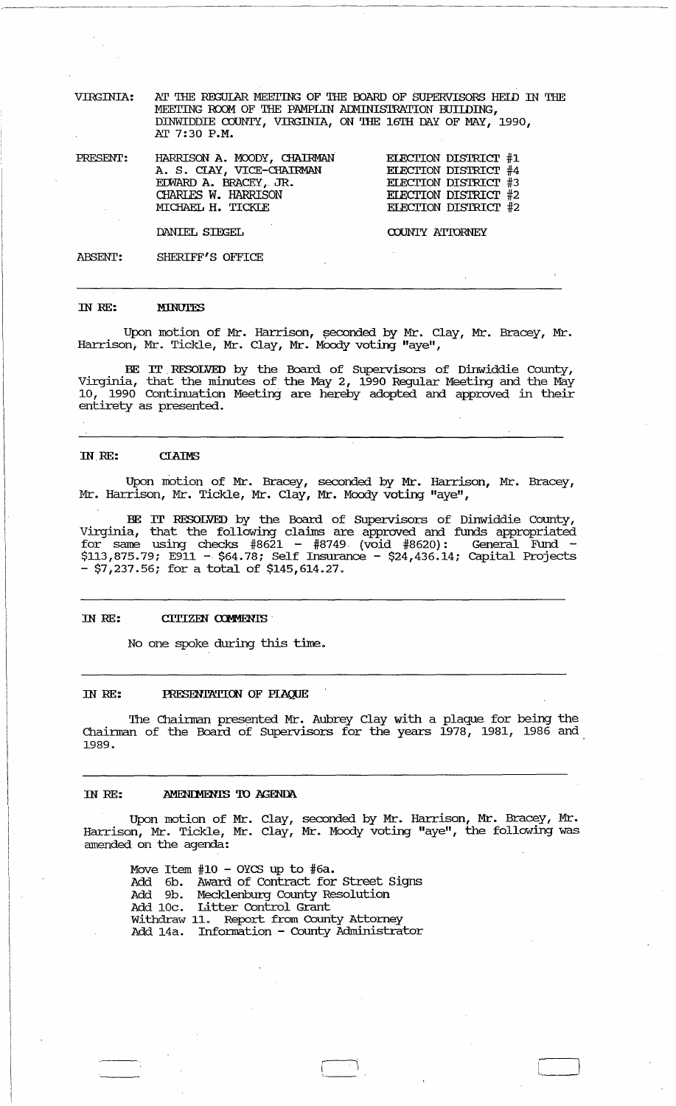VIRGINIA: AT THE REGULAR MEETING OF THE BOARD OF SUPERVISORS HELD IN THE MEETING ROOM OF THE PAMPLIN ADMINISTRATION BUILDING, DINWIDDIE CDUNTY, VIRGINIA, ON THE 16TH DAY OF MAY, 1990, AT 7:30 P.M.

| PRESENT: | HARRISON A. MOODY, CHAIRMAN<br>A. S. CIAY, VICE-CHAIRMAN<br>EDWARD A. BRACEY, JR.<br>CHARLES W. HARRISON<br>MICHAEL H. TICKLE | ELECTION DISTRICT #1<br>ELECTION DISTRICT #4<br>ELECTION DISTRICT #3<br>ELECTION DISTRICT #2<br>ELECTION DISTRICT #2 |
|----------|-------------------------------------------------------------------------------------------------------------------------------|----------------------------------------------------------------------------------------------------------------------|
|          | DANIEL SIEGEL                                                                                                                 | COUNTY ATTORNEY                                                                                                      |
| ABSENT:  | SHERIFF'S OFFICE                                                                                                              |                                                                                                                      |

#### IN RE: **MINUTES**

Upon motion of Mr. Harrison, seconded by Mr. Clay, Mr. Bracey, Mr. Harrison; Mr. Tickle, Mr. Clay, Mr. Moody voting "aye",

BE IT RESOLVED by the Board of Supervisors of Dinwiddie County, Virginia, that the minutes of the May 2, 1990 Regular Meeting and the May 10, 1990 Continuation Meeting are hereby adopted. and approved. in their entirety as presented..

#### lliRE: **CLAIMS**

Upon motion of Mr. Bracey, seconded by Mr. Harrison, Mr. Bracey, Mr. Harrison, Mr. Tickle, Mr. Clay, Mr. Moody voting "aye",

BE IT RESOLVED by the Board of Supervisors of Dinwiddie County, Virginia, that the following claims are approved. and funds appropriated.  $for$  same using checks  $#8621 - #8749$  (void  $#8620$ ): General Fund -\$113,875.79; E911 - \$64.78; Self Insurance - \$24,436.14; capital Projects  $-$  \$7,237.56; for a total of \$145,614.27.

#### IN *RE:*  CITIZEN COMMENTS

No one spoke during this time.

## PRESENTATION OF PLAQUE lliBE:

The Chairman presented Mr. Aubrey Clay with a plaque for being the Chairman of the Board of SUpervisors for the years 1978, 1981, 1986 and 1989.

#### lliRE: AMENIMENIS TO AGENDA

Upon motion of Mr. Clay, seconded. by Mr. Harrison, Mr. Bracey, Mr. Harrison, Mr. Tickle, Mr. Clay, Mr. Moody voting "aye", the following was amended on the agenda:

L. \_\_ \_

Move Item #10 - OYCS up to #6a. Add 6b. Award of contract for Street Signs Add 9b. Mecklenburg County Resolution Add 10c. Litter Control Grant Withdraw 11. Report from County Attorney Add 14a. Infonnation - County Administrator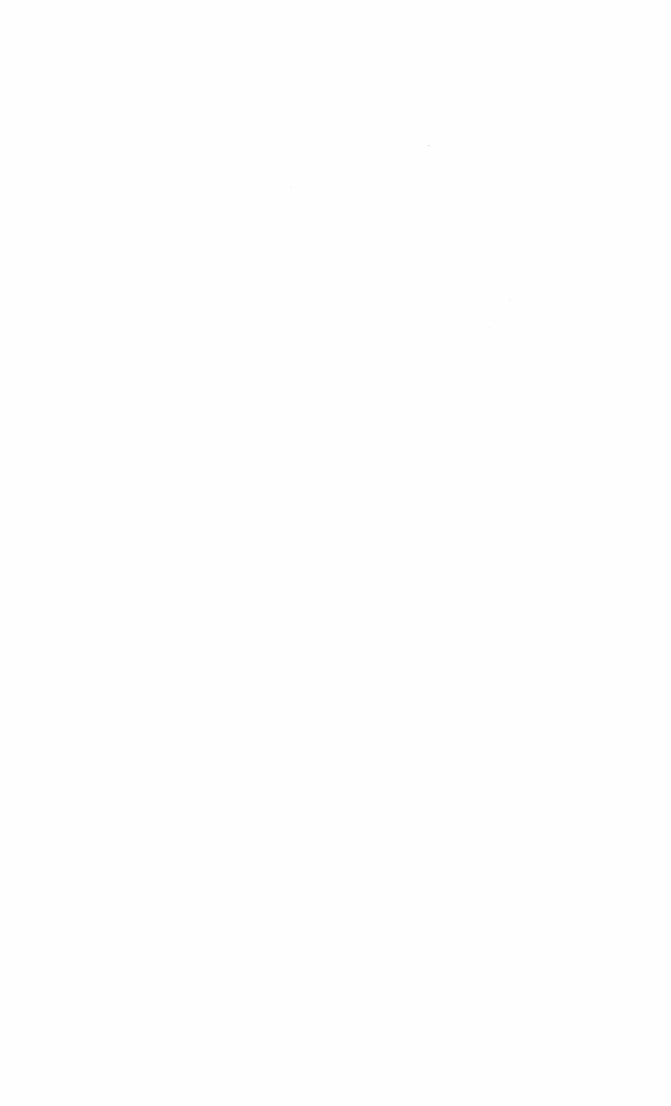$\label{eq:2.1} \begin{split} \mathcal{L}_{\text{max}}(\mathcal{L}_{\text{max}}) = \mathcal{L}_{\text{max}}(\mathcal{L}_{\text{max}}) \end{split}$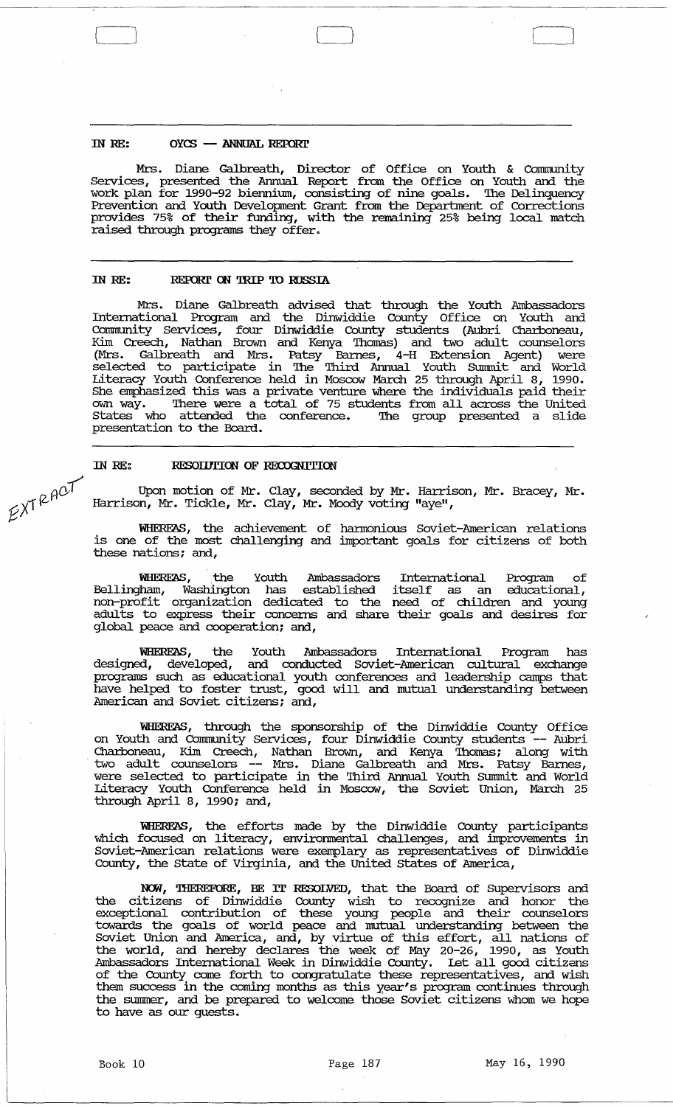# IN RE: OYCS -- ANNUAL REPORT

 $\Box$ 

Mrs. Diane Galbreath, Director of Office on Youth & Community services, presented the Annual Report from the Office on Youth and the work plan for 1990-92 biermium, consisting of nine goals. '!he Delinquency Prevention and Youth Development Grant from the Department of Corrections provides 75% of their funding, with the remaining 25% being local match raised through programs they offer.

## IN RE: REPORT ON TRIP TO RUSSIA

Mrs. Diane Galbreath advised that through the Youth Ambassadors International Program and the Dinwiddie County Office on Youth and Community services, four Dinwiddie County students (Aubri Charboneau, Kim Creech, Nathan Brown and Kenya '!hornas) and two adult counselors (Mrs. Galbreath and Mrs. Patsy Barnes, 4-H Extension Agent) were selected to participate in '!he '!hird Annual Youth SUmmit and World Literacy Youth Conference held in Moscow March 25 through April 8, 1990. She emphasized this was a private venture where the individuals paid their own way. '!here were a total of 75 students from all across the United states who attended the conference. '!he group presented a slide presentation to the Board.

#### IN RE: RESOLUTION OF RECOGNITION

Upon motion of Mr. Clay, seconded by Mr. Harrison, Mr. Bracey, Mr. Harrison, Mr. Tickle, Mr. Clay, Mr. Moody voting "aye",

WHEREAS, the achievement of harmonious Soviet-American relations is one of the most challenging and important goals for citizens of both these nations; and,

WHEREAS, the Youth Ambassadors International Program of Bellingham, Washington has established itself as an educational, non-profit organization dedicated to the need of children and young adults to express their concerns and share their goals and desires for global peace and cooperation; and,

WHERFAS, the Youth Ambassadors International Program has designed, developed, and conducted Soviet-American cultural exchange designed, developed, and conducted Soviet-American cultural exchange programs such as educational youth conferences and leadership camps that have helped to foster trust, good will and mutual understanding between American and Soviet citizens; and,

WHEREAS, through the sponsorship of the Dinwiddie County Office on Youth and connnunity services, four Dinwiddie County students -- AUbri Charboneau, Kim Creech, Nathan Brown, and Kenya '!homas; along with two adult counselors -- Mrs. Diane Galbreath and Mrs. Patsy Barnes, were selected to participate in the 'Ihird Annual Youth summit and World Literacy Youth Conference held in Moscow, the Soviet Union, March 25 through April 8, 1990; and,

WHERFAS, the efforts made by the Dinwiddie County participants which focused on literacy, environmental challenges, and improvements in Soviet-American relations were exemplary as representatives of Dinwiddie County, the State of Virginia, and the united states of America,

NCM, 'lHEREFORE, BE IT RESOLVED, that the Board of SUpervisors and the citizens of Dinwiddie County wish to recognize and honor the exceptional contribution of these young people and their counselors towards the goals of world peace and mutual understanding between the Soviet Union and America, and, by virtue of this effort, all nations of the world, and hereby declares the week of May 20-26, 1990, as Youth Ambassadors International Week in Dinwiddie County. let all good citizens of the County come forth to congratulate these representatives, and wish them success in the coming months as this year's program continues through the summer, and be prepared to welcome those Soviet citizens whom we hope to have as our guests.

EXTRACT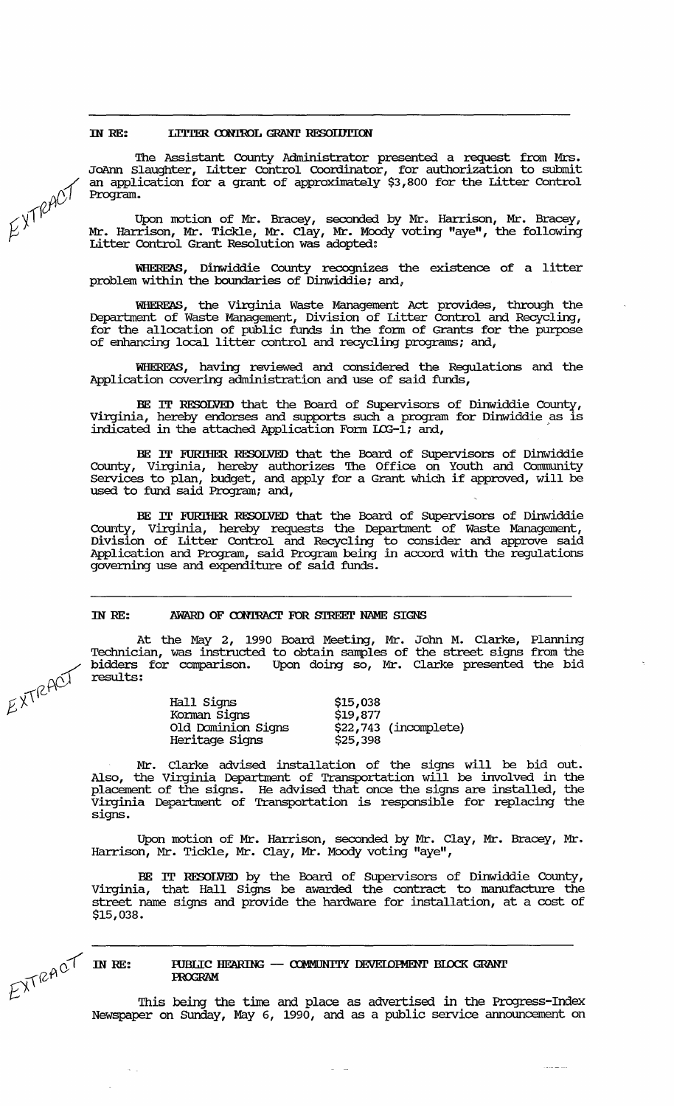## IN RE: LITTER CONTROL GRANT RESOLUTION

'!he Assistant County Administrator presented a request from Mrs. JoAnn Slaughter, Litter Control Coordinator, for authorization to submit an application for a grant of approximately \$3,800 for the Litter Control Program.

Upon motion of Mr. Bracey, seconded by Mr. Harrison, Mr. Bracey, Mr. Harrison, Mr. Tickle, Mr. Clay, Mr. Moody voting "aye", the following Litter Control Grant Resolution was adopted:

WHERFAS, Dinwiddie County recognizes the existence of a litter problem within the boundaries of Dinwiddie; and,

WHERFAS, the Virginia Waste Management Act provides, through the Department of Waste Management, Division of Litter Control and Recycling, for the allocation of public funds in the fonn of Grants for the purpose of enhancing local litter control and recycling programs; and,

WHERFAS, having reviewed and considered the Regulations and the Application covering administration and use of said funds,

BE IT RESOLVED that the Board of Supervisors of Dinwiddie County, Virginia, hereby endorses and supports such a program for Dinwiddie as is indicated in the attached Application Form *ICG-1*; and,

BE rr FURlliER RESOLVED that the Board of Supervisors of Dinwiddie County, Virginia, hereby authorizes '!he Office on Youth and Community services to plan, budget, and apply for a Grant which if approved, will be used to fund said Program; and,

BE IT FURTHER RESOLVED that the Board of Supervisors of Dinwiddie County, Virginia, hereby requests the Department of Waste Management, Division of Litter Control and Recycling to consider and approve said Application and Program, said Program being in accord with the regulations governing use and expenditure of said funds.

## IN RE: AWARD OF CONTRACT FOR STREET NAME SIGNS

At the May 2, 1990 Board Meeting, Mr. John M. Clarke, Technician, was instructed to obtain sarrples of the street signs bidders for comparison. Upon doing so, Mr. Clarke presented the bid results: Planning from the

| Hall Signs         | \$15,038 |                        |
|--------------------|----------|------------------------|
| Korman Signs       | \$19,877 |                        |
| Old Dominion Signs |          | $$22,743$ (incomplete) |
| Heritage Signs     | \$25,398 |                        |

Mr. Clarke advised installation of the signs will be bid out. Also, the Virginia Department of Transportation will be involved in the placement of the signs. He advised that once the signs are installed, the Virginia Department of Transportation is responsible for replacing the signs.

Upon motion of Mr. Harrison, seconded by Mr. Clay, Mr. Bracey, Mr. Harrison, Mr. Tickle, Mr. Clay, Mr. Moody voting "aye",

BE IT RESOLVED by the Board of Supervisors of Dinwiddie County, Virginia, that Hall Signs be awarded the contract to manufacture the street name signs and provide the hardware for installation, at a cost of \$15,038.



## IN RE: PUBLIC HEARING - COMMUNITY DEVELOPMENT BLOCK GRANT PROGRAM

This being the time and place as advertised in the Progress-Index Newspaper on SUnday, May 6, 1990, and as a public service announcement on

 $E^{YTPACT}$ 

/.'  $E^{X^{T/2+1}}$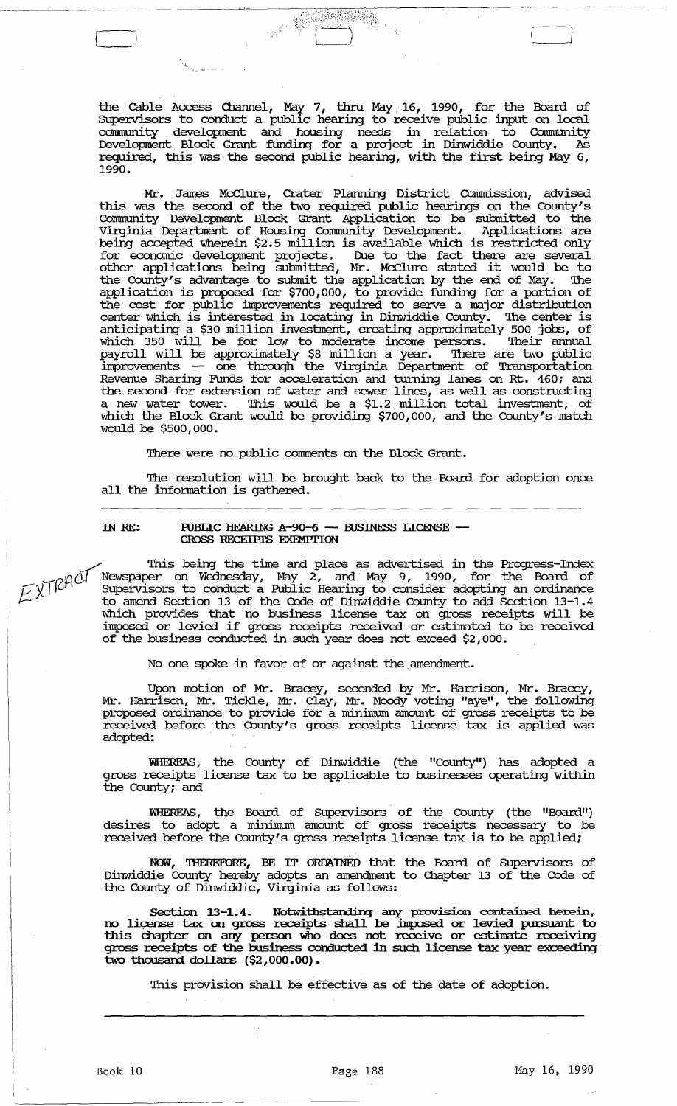the cable Access Channel, May 7, thru May, 16, 1990, for the Board of SUpervisors to conduct a public hearing to receive public input on local cornrm.mity development and housing needs in relation to Community Development Block Grant funding for a project in Dinwiddie County. As required, this was the second public hearing, with the first being May 6, 1990.

, and the set of  $\overline{a}$  and  $\overline{b}$  and  $\overline{c}$   $\overline{c}$ 

Mr. James McClure, Crater Planning District Commission, advised this was the second of the two required public hearings on the County's Community Development Block Grant Application to be submitted to the Virginia Deparbnent of Housing Community Development. Applications are being accepted wherein \$2.5 million is available which is restricted only for economic development projects. Due to the fact there are several other applications being submitted, Mr. McClure stated it would be to the County's advantage to submit the application by the end of May. The application is proposed for \$700,000, to provide funding for a portion of the cost for public improvements required to serve a major distribution center which is interested in locating in Dinwiddie County. The center is anticipating a \$30 million investment, creating approximately 500 jobs, of which 350 will be for low to moderate income persons. Their annual payroll will be approximately \$8 million a year. There are two public improvements -- one through the Virginia Department of Transportation Revenue Sharing Funds for acceleration and turning lanes on Rt. 460; and the second for extension of water and sewer lines, as well as constructing a new water tower. This would be a \$1.2 million total investment, of which the Block Grant would be providing \$700,000, and the County's match would be  $$500,000$ .

There were no public comments on the Block Grant.

The resolution will be brought back to the Board for adoption once all the information is gathered.

## IN RE: PUBLIC HEARING  $A-90-6$  - BUSINESS LICENSE --GROSS RECEIPIS EXEMPITON

This being the time and place as advertised in the Progress-Index  $\sqrt{2\pi}$   $\alpha$  Newspaper on Wednesday, May 2, and May 9, 1990, for the Board of Supervisors to conduct a Public Hearing to consider adopting an ordinance ~ to amend Section 13 of the Oode of Dinwiddie County to add Section 13-1.4 which provides that no business license tax on gross receipts will be imposed or levied if gross receipts received or estimated to be received of the business conducted in such year does not exceed \$2,000.

No one spoke in favor of or against the, amendment.

Upon motion of Mr. Bracey, seconded by Mr. Harrison, Mr. Bracey, Mr. Harrison, Mr. Tickle, Mr. Clay, Mr. Moody voting "aye", the following proposed ordinance to provide for a minimum amount of gross receipts to be received before the County's gross receipts license tax is applied was adopted:

WHEREAS, the County of Dinwiddie (the "County") has adopted a gross receipts license tax to be applicable to businesses operating within the County; and

WHEREAS, the Board of Supervisors of the County (the "Board") desires to adopt a minlinum amount of gross receipts necessary to be received before the County's gross receipts license tax is to be applied;

NOW, THEREFORE, BE IT ORDAINED that the Board of Supervisors of Dinwiddie County hereby adopts an amendment to Chapter 13 of the Oode of the County of Dinwiddie, Virginia as follows:

Section 13-1.4. Notwithstanding any provision contained herein, no license tax on gross receipts shall be :imposed or levied pursuant to this chapter on any person who does not receive or estimate receiving gross receipts of the business conducted in such license tax year exceeding two thousard dollars (\$2,000.00).

This provision shall be effective as of the date of adoption.

Book 10 Page 188 May 16, 1990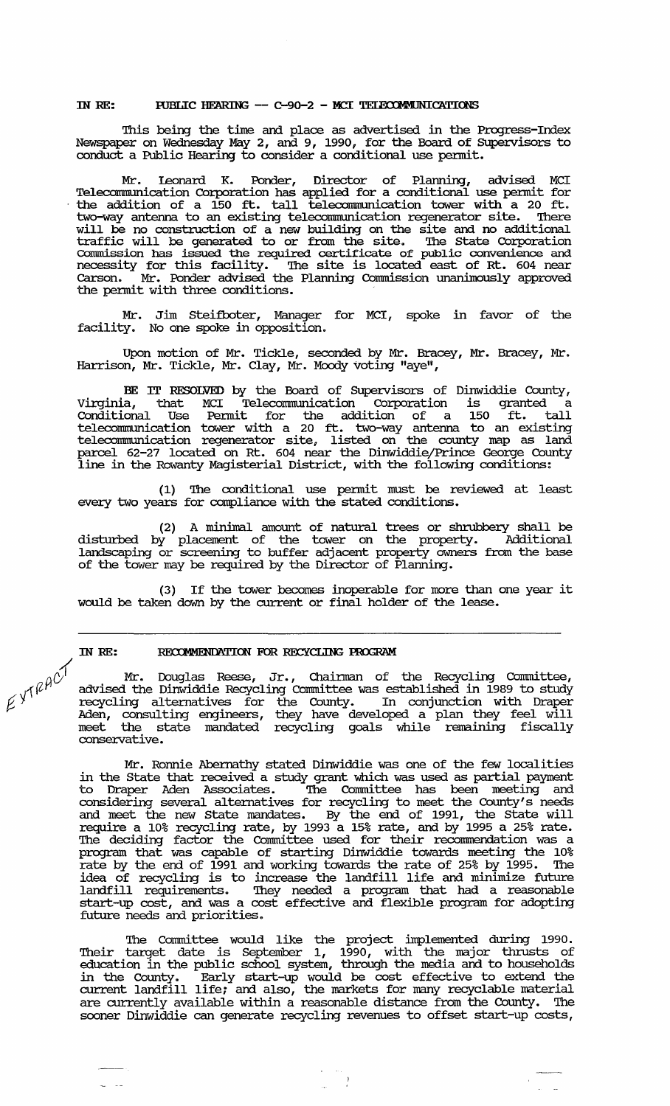## IN RE: PUBLIC HEARING  $-$  C-90-2 - MCI TELECOMMUNICATIONS

This being the time and place as advertised in the Progress-Index Newspaper on Wednesday May 2, and 9, 1990, for the Board of SUpervisors to conduct a Public Hearing to consider a conditional use pennit.

Mr. leonard K. Ponder, Director of Plarming, advised MCI Telecommunication Corporation has applied for a conditional use pennit for the addition of a 150 ft. tall telecommunication tower with a 20 ft. two-way antenna to an existing telecommunication regenerator site. There will be no construction of a new building on the site and no additional traffic will be generated to or from the site. '!he state Corporation Cormnission has issued the required certificate of public convenience and necessity for this facility. '!he site is located east of Rt. 604 near Carson. Mr. Ponder advised the Planning Commission unanimously approved the pennit with three conditions.

Mr. Jim Steifboter, Manager for MCI, spoke in favor of the facility. No one spoke in opposition.

Upon motion of Mr. Tickle, seconded by Mr. Bracey, Mr. Bracey, Mr. Harrison, Mr. Tickle, Mr. Clay, Mr. Moody voting "aye",

BE IT RESOLVED by the Board of Supervisors of Dinwiddie County, Virginia, that MCI Telecommunication Corporation is granted a Conditional Use Permit for the addition of a 150 ft. tall telecomrmmication tower with a 20 ft. two-way antenna to an existing telecommunication regenerator site, listed on the county map as land parcel 62-27 located on Rt. 604 near the Dinwiddie/Prince George County line in the Rowanty Magisterial District, with the following conditions:

(1) '!he conditional use pennit must be reviewed at least every two years for compliance with the stated conditions.

(2) A minimal amount of natural trees or shrubbery shall be disturbed by placement of the tower on the property. Additional landscaping or screening to buffer adjacent property owners from the base of the tower may be required by the Director of Plarming.

(3) If the tower becomes inoperable for more than one year it would be taken down by the current or final holder of the lease.

#### IN RE: RECOMMENDATION FOR RECYCLING PROGRAM

*CI'* 

E yr Rpp

Mr. Douglas Reese, Jr., Chairman of the Recycling Committee, advised the Dinwiddie Recycling committee was established in 1989 to study recycling alternatives for the County. In conjunction with Draper Aden, consulting engineers, they have developed. a plan they feel will meet the state mandated recycling goals while remaining fiscally conservative.

Mr. Ronnie Abernathy stated Dinwiddie was one of the few localities in the state that received a study grant which was used as partial payment to Draper Aden Associates. The Committee has been meeting and considering several alternatives for recycling to meet the County's needs and meet the new state mandates. By the end of 1991, the state will require a 10% recycling rate, by 1993 a 15% rate, and by 1995 a 25% rate. The deciding factor the Committee used for their recommendation was a program that was capable of starting Dinwiddie towards meeting the 10% rate by the end of 1991 and working towards the rate of 25% by 1995. The idea of recycling is to increase the landfill life and minimize future landfill requirements. '!hey needed a program that had a reasonable start-up cost, and was a cost effective and flexible program for adopting future needs and priorities.

The committee would like the project linplemented during 1990. Their target date is September 1, 1990, with the major thrusts of education in the public school system, through the media and to households in the County. Early start-up would be cost effective to extend the current landfill life; and also, the markets for many recyclable material are currently available within a reasonable distance from the County. The sooner Dinwiddie can generate recycling revenues to offset start-up costs,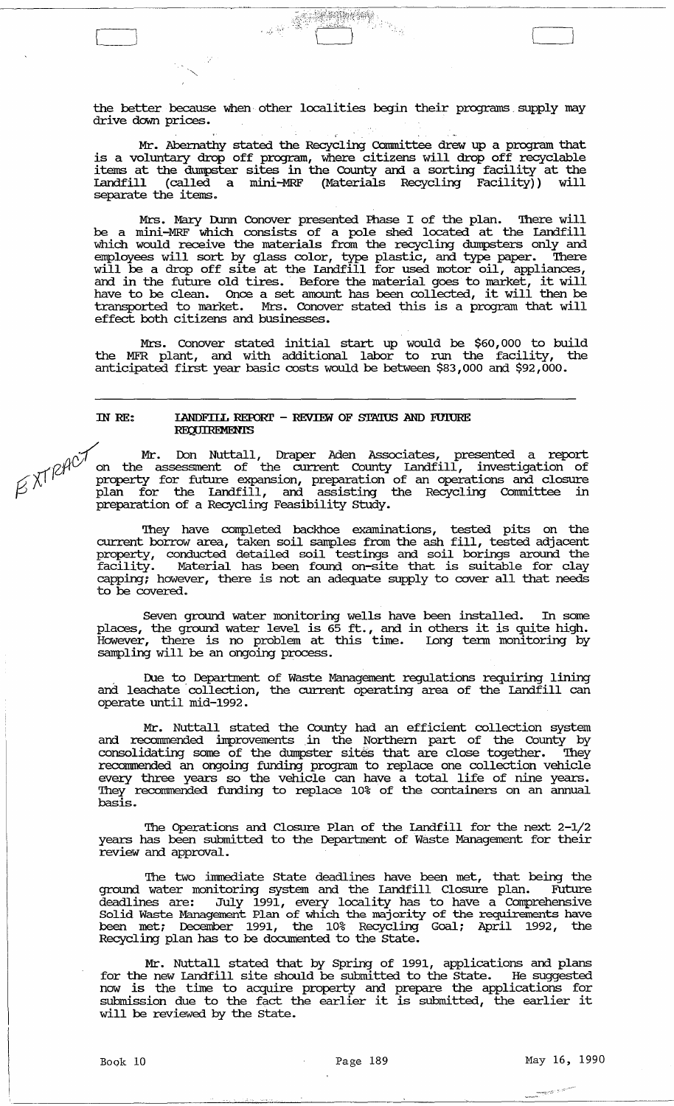the better because when other localities begin their programs supply may drive down prices.

i: i:ij:i; $\frac{1}{2}$  ,  $\frac{1}{2}$  ,  $\frac{1}{2}$  ,  $\frac{1}{2}$  ,  $\frac{1}{2}$  ,  $\frac{1}{2}$  ,  $\frac{1}{2}$  ,  $\frac{1}{2}$  ,  $\frac{1}{2}$  ,  $\frac{1}{2}$  ,  $\frac{1}{2}$  ,  $\frac{1}{2}$  ,  $\frac{1}{2}$  ,  $\frac{1}{2}$  ,  $\frac{1}{2}$  ,  $\frac{1}{2}$  ,  $\frac{1}{2}$  ,  $\frac{1}{2$ 

Mr. Abernathy stated the Recycling Committee drew up a program that is a veluntary drop eff program, where citizens will drop eff recyclable items at the dumpster sites in the County and a sorting facility at the Landfill (called a mini-MRF (Materials Recycling Facility)) will separate the items.

Mrs. Mary Dunn Conover presented Phase I of the plan. There will be a mini-MRF which consists of a pole shed located at the Landfill which weuld receive the materials from the recycling dumpsters enly and employees will sort by glass color, type plastic, and type paper. There will be a drop off site at the Landfill for used motor oil, appliances, will be a drop oil site at the Landriil for used motor oil, appliances, and in the future old tires. Before the material goes to market, it will and in the future ond tires. Before the material goes to market, it will then been collected, it will then be transported to. market. Mrs. Conover stated this is a program that will effect both citizens and businesses.

Mrs. Conover stated initial start up would be \$60,000 to build the MFR plant, and with additional labor to run the facility, the anticipated first year basic costs weuld be between \$83,000 and \$92,000.

# IN RE: ~ IANDFILL REPORT - REVIEW OF STATUS AND FUIURE

of **Mr.** Don Nuttall, Draper Aden Associates, presented a report  $\kappa$   $\beta$  and the assessment of the current County Landfill, investigation of property for future expansion, preparation of an operations and closure  $\beta^{\,\prime\prime}$  , plan for the Landfill, and assisting the Recycling Committee in preparation of a Recycling Feasibility Study.

> They have completed backhoe examinations, tested pits on the current borrow area, taken seil samples from the ash fill, tested adjacent preperty, conducted detailed soil testings and seil borings areund the facility. Material has been feund en-site that is suitable fer clay capping; however, there is not an adequate supply to cover all that needs to. be covered.

> Seven ground water monitoring wells have been installed. In some places, the greund water level is 65 ft., and in ethers it is quite high. However, there is no. problem at this time. Long tenn monitering by sampling will be an ongoing process.

> Due to Department of Waste Management regulations requiring lining and leachate collection, the current operating area of the Landfill can eperate until mid-1992.

> Mr. Nuttall stated the County had an efficient collection system and recommended improvements in the Northern part of the County by consolidating some of the dumpster sites that are close together. They recommended an ongoing funding program to replace one collection vehicle every three years so the vehicle can have a tetal life ef nine years. They recommended funding to replace 10% of the containers on an annual basis.

> The Operations and Closure Plan of the Landfill for the next 2-1/2 years has been submitted to the Department of Waste Management for their review and approval.

> The two immediate State deadlines have been met, that being the ground water monitoring system and the Landfill Closure plan. Future deadlines are: July 1991, every locality has to. have a Comprehensive Solid Waste Management Plan of which the majority of the requirements have been met; December 1991, the 10% Recycling Goal; April 1992, the Recycling plan has to be documented to the state.

> Mr. Nuttall stated that by Spring of 1991, applications and plans for the new Landfill site should be submitted to the State. He suggested now is the time to acquire property and prepare the applications for now is the time to acquire property and prepare the apprications for<br>submission due to the fact the earlier it is submitted, the earlier it will be reviewed by the State.

----------------------------~~~~,--.~--------------~------~----------------------------

 $\Box$ 

 $6407$ 

mate 1848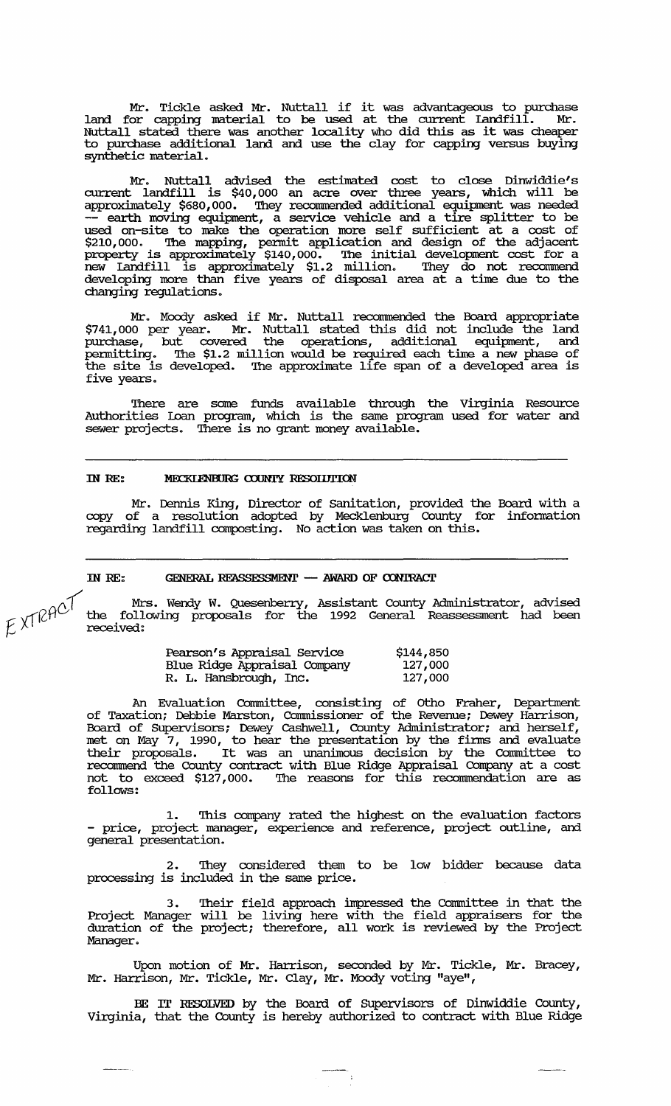Mr. Tickle asked Mr. Nuttall if it was advantageous to purchase land for capping material to be used at the current Landfill. Mr. Nuttall stated there was another locality who did this as it was cheaper to purchase additional land and use the clay for capping versus buying synthetic material.

Mr. Nuttall advised the estimated cost to close Dinwiddie's current landfill is \$40,000 an acre over three years, which will be approximately \$680,000. They recorranended additional equipment was needed -- earth moving equipment, a service vehicle and a tire splitter to be used on-site to make the operation more self sufficient at a cost of \$210,000. The mapping, pennit application and design of the adjacent property is approximately \$140,000. The initial development cost for a new Landfill is approximately \$1.2 million. They do not recommend developing more than five years of disposal area at a time due to the changing regulations.

Mr. Moody asked if Mr. Nuttall reconunended the Board appropriate \$741,000 per year. Mr. Nuttall stated this did not include the land purchase, but covered the operations, additional equipment, and pennitting. The \$1. 2 million would be required each time a new phase of the site is developed. The approximate life span of a developed area is five years.

There are some funds available through the virginia Resource Authorities loan program, which is the same program used for water and sewer projects. There is no grant money available.

## IN RE: MECKLENBURG COUNTY RESOLUTION

Mr. Dennis King, Director of Sanitation, provided the Board with a copy of a resolution adopted by Mecklenburg County for information regarding landfill cornposting. No action was taken on this.

IN RE: GENERAL REASSESSMENT  $-$  AWARD OF CONTRACT

Mrs. Wendy W. Quesenberry, Assistant County Administrator, advised the following proposals for the 1992 General Reassessment had been<br>received:

| Pearson's Appraisal Service  | \$144,850 |
|------------------------------|-----------|
| Blue Ridge Appraisal Company | 127,000   |
| R. L. Hansbrough, Inc.       | 127,000   |

An Evaluation Committee, consisting of Otho Fraher, Department of Taxation; Debbie Marston, Commissioner of the Revenue; Dewey Harrison, Board of Supervisors; Dewey Cashwell, County Administrator; and herself, met on May 7, 1990, to hear the presentation by the finns and evaluate their proposals. It was an unanimous decision by the Committee to recorranend the County contract with Blue Ridge Appraisal Company at a cost not to exceed \$127,000. The reasons for this reconnnendation are as follows:

1. This company rated the highest on the evaluation factors - price, project manager, experience and reference, project outline, and general presentation.

2. They considered them to be low bidder because data processing is included in the same price.

3. Their field approach impressed the Committee in that the Project Manager will be living here with the field appraisers for the duration of the project; therefore, all work is reviewed by the Project Manager.

Upon motion of Mr. Harrison, seconded by Mr. Tickle, Mr. Bracey, Mr. Harrison, Mr. TiCkle, Mr. Clay, Mr. Moody voting "aye",

BE IT RESOLVED by the Board of supervisors of Dinwiddie County, Virginia, that the County is hereby authorized to contract with Blue Ridge

 $\overline{\phantom{a}}$ 

 $E X T R R C T$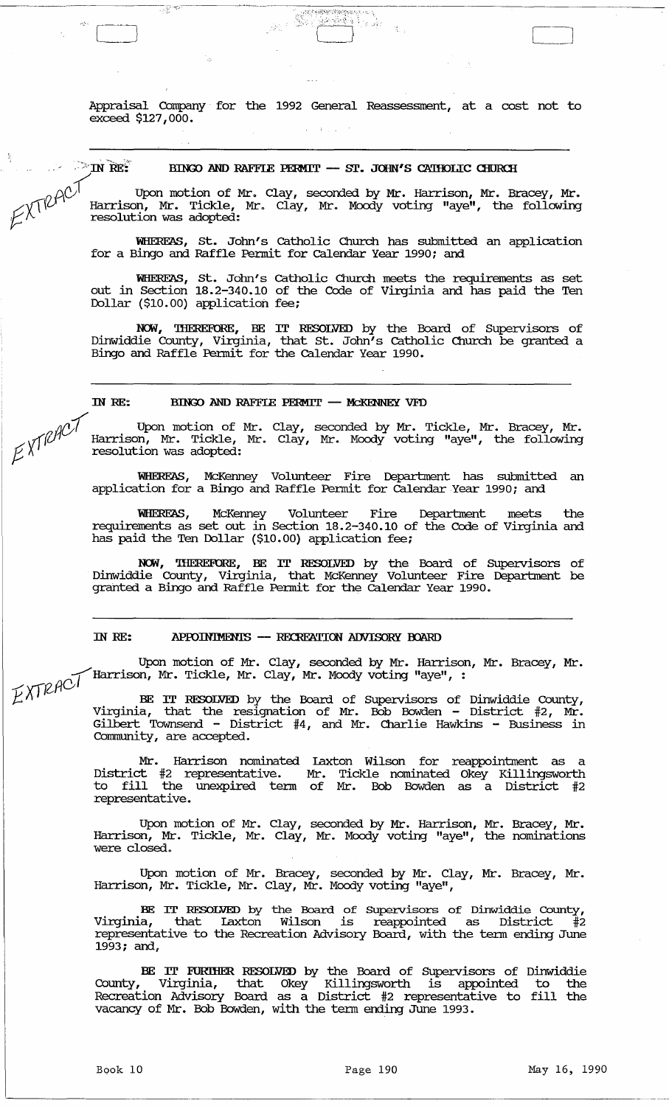Appraisal Company. for the 1992 General Reassessment, at a cost not to exceed \$127,000.

 $\cdot$  . Jet

73

IN RET BINGO AND RAFFIE PERMIT - ST. JOHN'S CATHOLIC CHURCH<br>Upon motion of Mr. Clay, seconded by Mr. Harrison, Mr. Br<br>resolution was adopted. Mr. Clay, Mr. Moody 111.  $\alpha$  $\beta$ ( . Upon motion of Mr. Clay, seconded by Mr. Harrison, Mr. Bracey, Mr.  $\text{L}\times\text{V}^{\text{U}^{\text{U}}}$  Harrison, Mr. Tickle, Mr. Clay, Mr. Moody voting "aye", the following resolution was adopted:

> WHEREAS, st. Jolm's catholic Church has submitted an application for a Bingo and Raffle Pennit for calendar Year 1990; and

> WHEREAS, St. John's Catholic Church meets the requirements as set out in Section 18.2-340.10 of the Code of Vivginia and has paid the Ten Dollar (\$10.00) application fee;

> NCM, 'lHEREFORE, BE IT RESOLVED by the Board of supervisors of Dinwiddie County, Vivginia, that st. John's catholic Church be granted a Bingo and Raffle Pennit for the calendar Year 1990.

## IN RE: BINGO AND RAFFIE PERMIT  $-$  MCKENNEY VFD

 $F$ XIKAO

,  $\mathcal{U}$  Upon motion of Mr. Clay, seconded by Mr. Tickle, Mr. Bracey, Mr.  $110^{10}$  Harrison, Mr. Tickle, Mr. Clay, Mr. Moody voting "aye", the following resolution was adopted:

> WHEREAS, McKenney Volunteer Fire Department has submitted an application for a Bingo and Raffle Pennit for calendar Year 1990; and

> WHEREAS, McKenney Volunteer Fire Department meets the requirements as set out in Section 18.2-340.10 of the Code of Vivginia and has paid the Ten Dollar (\$10.00) application fee;

> NOW, THEREFORE, BE IT RESOLVED by the Board of Supervisors of Dinwiddie County, Vivginia, that McKermey Volunteer Fire Deparbnent be granted a Bingo and Raffle Pennit for the calendar Year 1990.

## IN RE: APPOINTMENTS -- RECREATION ADVISORY BOARD

Upon motion of Mr. Clay, seconded by Mr. Harrison, Harrison, Mr. Tickle, Mr. Clay, Mr. Moody voting "aye", : Mr. Bracey, Mr.

BE IT RESOLVED by the Board of supervisors of Dinwiddie County, Vivginia, that the resignation of Mr. Bob Bowden - District #2, Mr. Gilbert Townsend - District #4, and Mr. Charlie Hawkins - Business in Community, are accepted.

Mr. Harrison nominated Laxton Wilson for reappointment as a District #2 representative. District #2 representative. Mr. Tickle nominated Okey Killingsworth<br>to fill the unexpired term of Mr. Bob Bowden as a District #2 representative. of Mr. Bob Bowden as a District #2

Upon motion of Mr. Clay, seconded by Mr. Harrison, Mr. Bracey, Mr. Harrison, Mr. Tickle, Mr. Clay, Mr. Moody voting "aye", the nominations were closed.

Upon motion of Mr. Bracey, seconded by Mr. Clay, Mr. Bracey, Mr. Harrison, Mr. Tickle, Mr. Clay, Mr. Moody voting "aye",

BE IT RESOLVED by the Board of Supervisors of Dinwiddie County, Vivginia, that Laxton Wilson is reappointed as District #2 representative to the Recreation Advisory Board, with the term ending June 1993; and,

BE IT FURTHER RESOLVED by the Board of Supervisors of Dinwiddie County, Vivginia, that Okey Killingsworth is appointed to the Recreation Adviso:ry Board as a District #2 representative to fill the vacancy of Mr. Bob Bowden, with the tenn ending June 1993.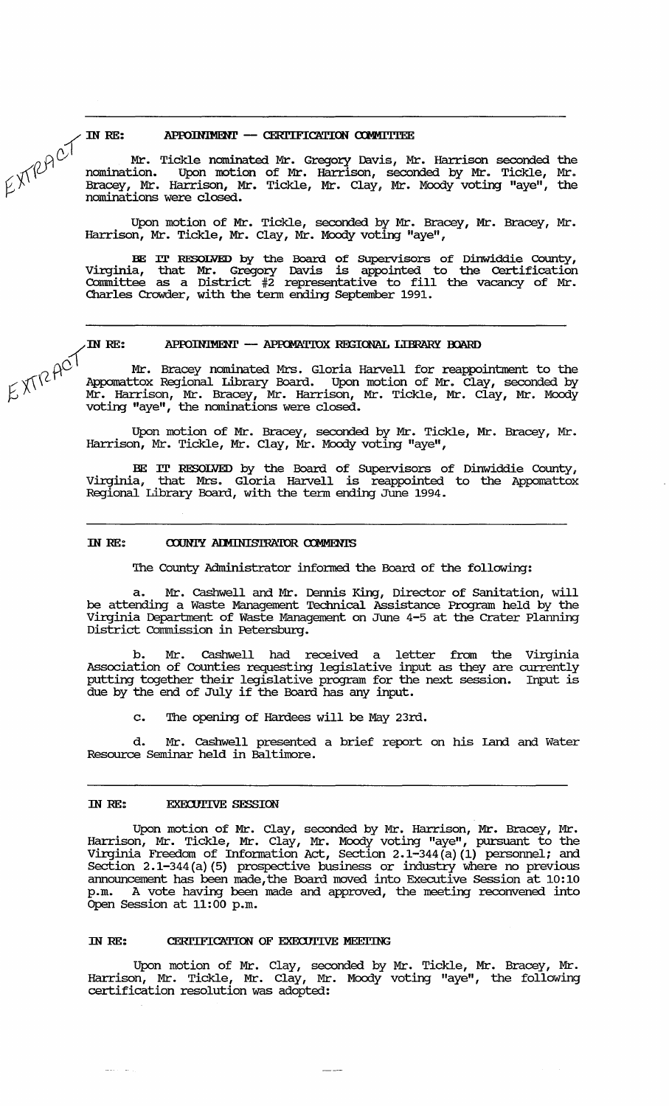## APPOINIMENT - CERITIFICATION COMMITTEE

 $E\times100^{C}$  IN RE: Mr. Tickle nominated Mr. Gregory Davis, Mr. Harrison seconded the  $\text{Cov}(\mathcal{O}_\text{c})$  . nomination. Upon motion of Mr. Harrison, seconded by Mr. Tickle, Mr.  $\beta_{\rm F}$   $^{\rm N}$  'f. Bracey, Mr. Harrison, Mr. Tickle, Mr. Clay, Mr. Moody voting "aye", the nominations were closed.

> Upon motion of Mr. Tickle, seconded by Mr. Bracey, Mr. Bracey, Mr. Harrison, Mr. Tickle, Mr. Clay, Mr. Moody voting "aye",

> BE IT RESOLVED by the Board of SUpervisors of Dinwiddie COunty, Virginia, that Mr. Gregory Davis is appointed to the Certification Connnittee as a District #2 representative to fill the vacancy of Mr. Charles Crowder, with the tenn ending September 1991.

 $\begin{minipage}{0.5\textwidth} \centering \begin{tabular}{l} \multicolumn{2}{c}{\textbf{N} R: & \textbf{APPONIMENT} -- \textbf{APPOMATION REGIONAL LIBRARY BOARD} \\ \multicolumn{2}{c}{\textbf{Mr. Bracey}{\textbf{m}}{\textbf{m}}{\textbf{m}}{\textbf{m}}{\textbf{m}}{\textbf{m}}{\textbf{m}}{\textbf{m}}{\textbf{m}}{\textbf{m}}{\textbf{m}}{\textbf{m}}{\textbf{m}}{\textbf{m}}{\textbf{m}}{\textbf{m}}{\textbf{m}}{\textbf{m}}{\textbf{m}}{\textbf{m}}{\textbf{m}}{\text$ Mr. Bracey nominated Mrs. Gloria Harvell for reappointment to the Appomattox Regional Library Board. Upon motion of Mr. Clay, seconded by  $\mathcal{\mathcal{L}}^{\wedge}$  Mr. Harrison, Mr. Bracey, Mr. Harrison, Mr. Tickle, Mr. Clay, Mr. Moody voting "aye", the nominations were closed.

> Upon motion of Mr. Bracey, seconded by Mr. Tickle, Mr. Bracey, Mr. Harrison, Mr. Tickle, Mr. Clay, Mr. Moody voting "aye",

> BE IT RESOLVED by the Board of Supervisors of Dinwiddie County, Virginia, that Mrs. Gloria Harvell is reappointed to the Appornattox Regional Library Board, with the tenn ending June 1994.

## IN RE: COUNIY ADMINISTRATOR COMMENTS

The County Administrator infonned. the Board of the following:

Mr. Cashwell and Mr. Dennis King, Director of Sanitation, will be attending a Waste Management Technical Assistance Program held by the Virginia Department of Waste Management on June 4-5 at the Crater Plarming District Commission in Petersburg.

b. Mr. cashwell had received a letter from the Virginia Association of Counties requesting legislative input as they are currently putting together their legislative program for the next session. Input is due by the end of July if the Board has any input.

c. The opening of Hardees will be May 23rd.

d. Mr. cashwell presented a brief report on his land and Water Resource seminar held in Baltimore.

## IN RE: EXECUTIVE SESSION

Upon motion of Mr. Clay, seconded by Mr. Harrison, Mr. Bracey, Mr. Harrison, Mr. Tickle, Mr. Clay, Mr. Mocxiy voting "aye", pursuant to the Virginia Freedom of Infonnation Act, Section 2. 1-344 (a) (1) personnel; and Section 2.1-344 (a) (5) prospective business or industry where no previous announcement has been made, the Board moved into Executive Session at 10:10 p.m. A vote having been made and approved, the meeting reconvened into Open Session at 11:00 p.m.

## IN RE: CERITIFICATION OF EXECUTIVE MEETING

Upon motion of Mr. Clay, seconded by Mr. Tickle, Mr. Bracey, Mr. Harrison, Mr. Tickle, Mr. Clay, Mr. Moody voting "aye", the following certification resolution was adopted: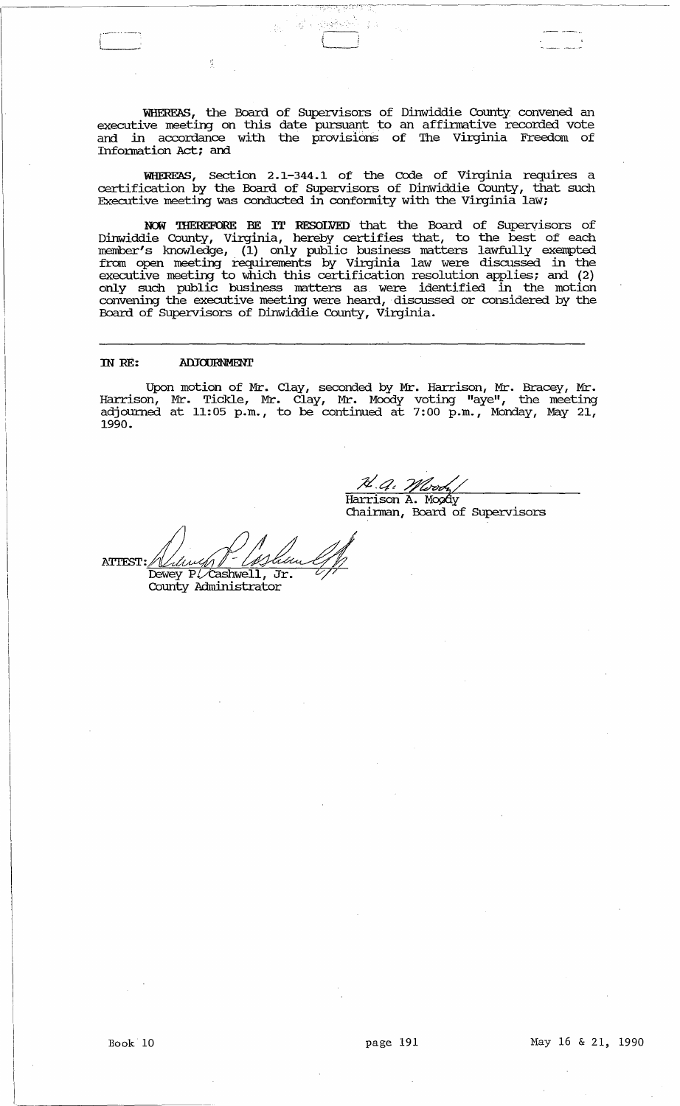WHEREAS, the Board of Supervisors of Dinwiddie County convened an executive meeting on this date pursuant to an affinnative recorded vote and in accordance with the provisions of The virginia Freedom of Infonnation Act; and

WHEREAS, Section 2.1-344.1 of the Code of Virginia requires a certification by the Board of SUpervisors of Dinwiddie County, that such Executive meeting was conducted in confonnity with the virginia law;

NCM 'IHEREFORE BE IT RESOLVED that the Board of SUpervisors of Dinwiddie County, Virginia, hereby certifies that, to the best of each member's knowledge, (1) only public business matters lawfully exempted from open meeting requirements by Virginia law were discussed in the executive meeting to which this certification resolution applies; and (2) only such public business matters as were identified in the motion convening the executive meeting were heard, discussed or considered by the Board of supervisors of Dinwiddie County, Virginia.

## 1N RE: AIDOORNMENl'

 $\begin{array}{c} \begin{array}{c} \begin{array}{c} \end{array} \end{array}$ 

ÿ

Upon motion of Mr. Clay, seconded by Mr. Harrison, Mr. Bracey, Mr. Harrison, Mr. Tickle, Mr. Clay, Mr. Moody voting "aye", the meeting adjourned at 11:05 p.m., to be continued at 7:00 p.m., Monday, May 21, 1990.

<u>N.G. Wood,</u><br>Harrison A. Moody

Chairman, Board of Supervisors

·---.-.. ~r-'~:T-~-·-;---··----------------------

ATTEST: <u>Nume of Cashmill</u> Dewey P./Cashwell, Jr.<br>County Administrator